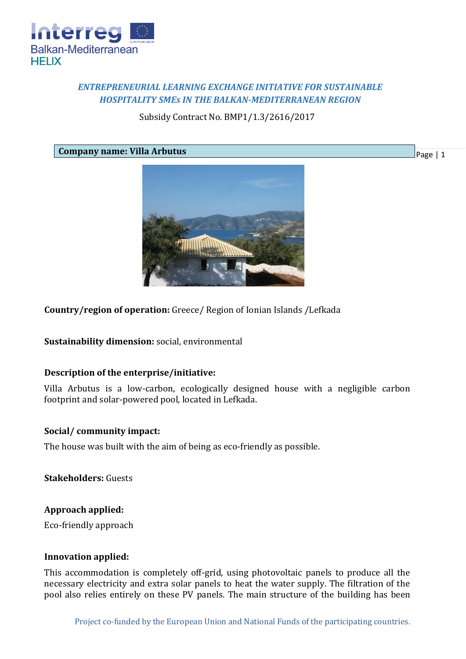

# *ENTREPRENEURIAL LEARNING EXCHANGE INITIATIVE FOR SUSTAINABLE HOSPITALITY SMEs IN THE BALKAN-MEDITERRANEAN REGION*

Subsidy Contract No. BMP1/1.3/2616/2017

**Company name: Villa Arbutus**

Page | 1



**Country/region of operation:** Greece/ Region of Ionian Islands /Lefkada

**Sustainability dimension:** social, environmental

## **Description of the enterprise/initiative:**

Villa Arbutus is a low-carbon, ecologically designed house with a negligible carbon footprint and solar-powered pool, located in Lefkada.

## **Social/ community impact:**

The house was built with the aim of being as eco-friendly as possible.

**Stakeholders:** Guests

## **Approach applied:**

Eco-friendly approach

### **Innovation applied:**

This accommodation is completely off-grid, using photovoltaic panels to produce all the necessary electricity and extra solar panels to heat the water supply. The filtration of the pool also relies entirely on these PV panels. The main structure of the building has been